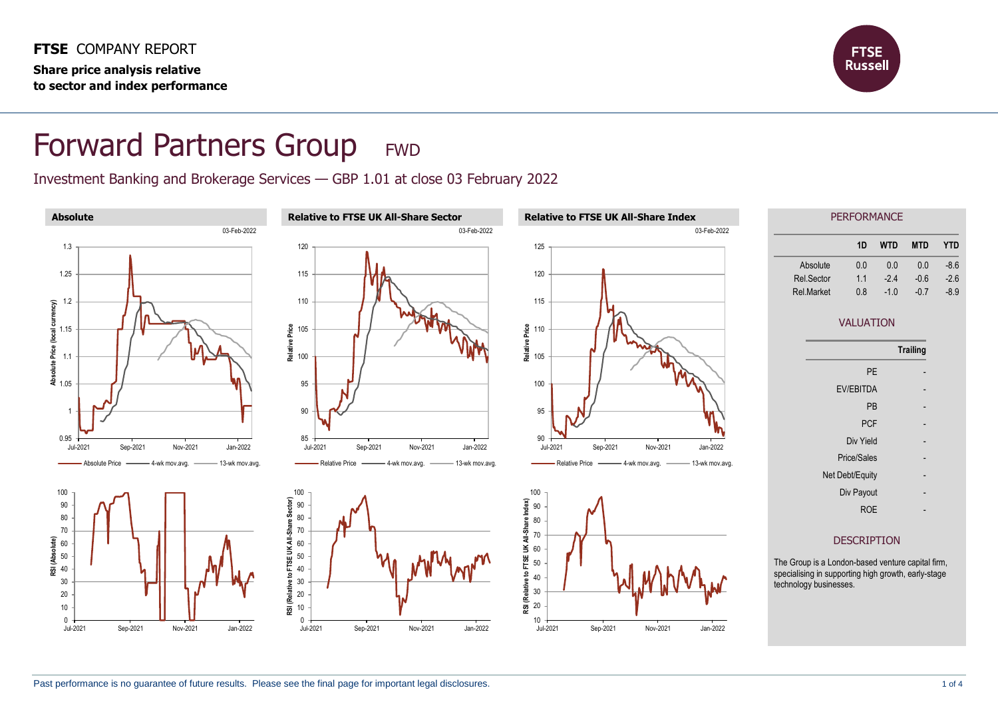

## Forward Partners Group FWD

Investment Banking and Brokerage Services — GBP 1.01 at close 03 February 2022

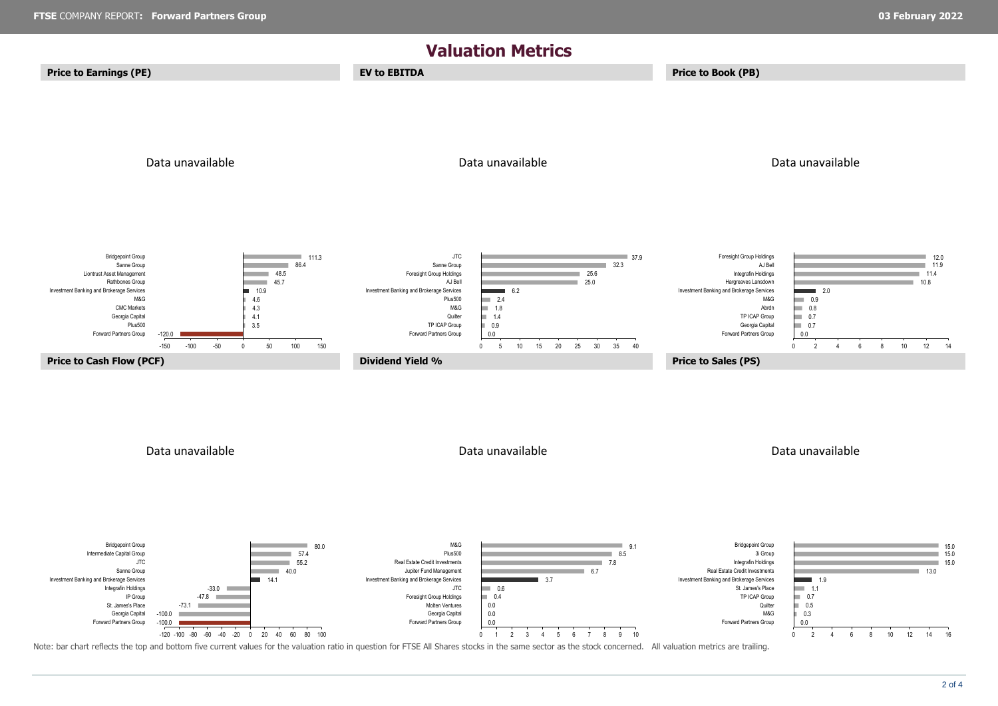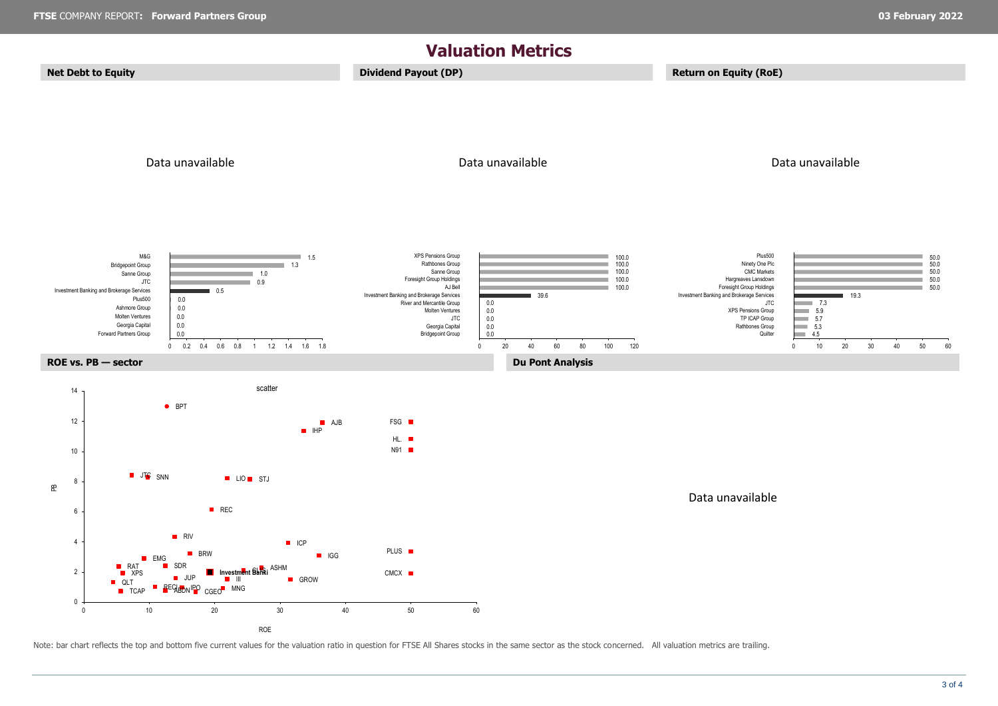

Note: bar chart reflects the top and bottom five current values for the valuation ratio in question for FTSE All Shares stocks in the same sector as the stock concerned. All valuation metrics are trailing.